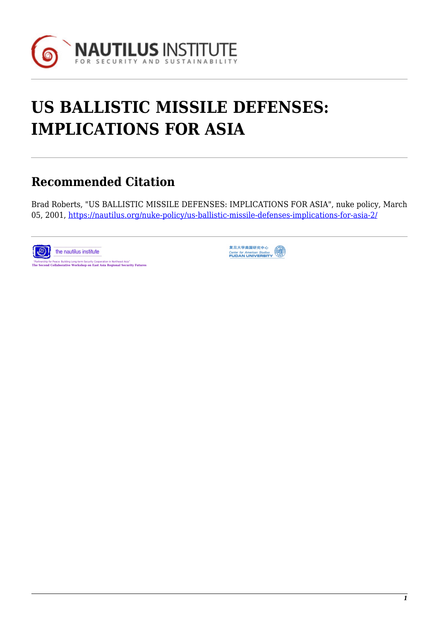

# **US BALLISTIC MISSILE DEFENSES: IMPLICATIONS FOR ASIA**

## **Recommended Citation**

Brad Roberts, "US BALLISTIC MISSILE DEFENSES: IMPLICATIONS FOR ASIA", nuke policy, March 05, 2001, <https://nautilus.org/nuke-policy/us-ballistic-missile-defenses-implications-for-asia-2/>



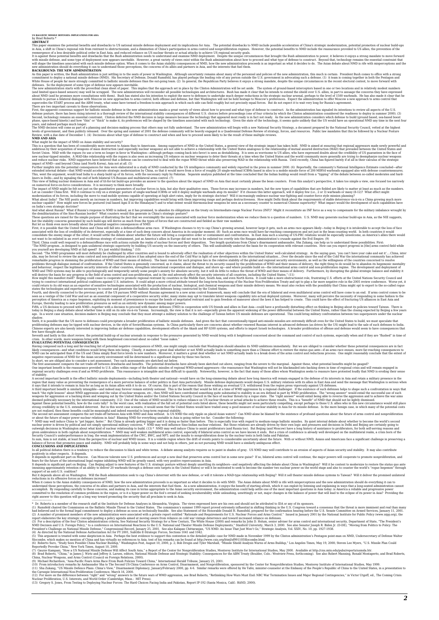## **US BALLISTIC MISSILE DEFENSES: IMPLICATIONS FOR ASIA** by Brad Roberts \*

### **ABSTRACT**

This paper examines the potential benefits and crawbacks to US national missile defense deploment and its implications for Asia. The potential drawbacks to NDD include to selectation of China's paper examines in Asia, a sh

reemergence of a lees desirable political order in East Asia, and reduce relations on US nuclear threats to achieve the enjoy and actual ones to move forward interests that the Plash administration needs to move for less d

BACKGROUND: THE NEW ADMINISTRATION is just settling in to the seats of power in Washington. Although uncertainty remains about many of the personnel and policies of the new administration, this much is certain: President B

First, the append consens support for ballisin distinctions in the ave administration masks a great variety of weak about boy to greate the masks are all with the postession distinction masks are the accelerate and when th

modernization of its forces, including the move to road-mobile systems capable of operating at high alert rates, imply for its strategic doctrine? Whill increasingly embatcase the under of an expectative incomparisms. How

These question are need for the united property and the state in the contempt of the contempt the interest content interest of the content interest of the content interest of the content interest of the content interest i

proliferating defenses may be tipped with nuclear devices, in the style of Soviet/Russian systems. In China particularly there are concerns about whether renewed Russian interest in advanced defenses (as driven by the US)

Seventh and lastly in this short review, the potential build-up of nuclear arsenals in response to the pressures generated by NMD would bring with it heightened concerned about the command and control of such systems, espe

likely consequences—and what conditions would bring them into being. Clearly, it matters a great deal whether or not NMD actually leads to something more than a Chinese effort to restore the status quo ante—if an arms race

The first assessment compares the net trade-off between drawbacks and benefits. The potential drawbacks have already been sketched out above, ranging from the severe to the marginal. Against these, what potential benefits

of stephality mportant benefit is the effect ballistic missile deployments—including both theater and national—would have on the long-simmering debate about how long America will remain engaged in the defense of its intere

Agains these potential benefits, how do the cost talky? In the worst case, with realization of the full set of potential costs listed above, these poetinity in Asia for its missile defines the more benefits in hear the pot

In all political debates there is a tendency to reduce the discussion to black and white terms. A debate among analysts requires us to paint in shades of gray. US NMD may well contribute to an erosion of aspects of Asian s

It depends in significant part on Moscow. Can Moscow tolerate new U.S. preferences and accept a new deal that preserves are control but in some new guise? If so, bilateral arms control will continue, the major powers will

When it comes to the Asian stability consequences of NMD, how the new administration roceeds is as important as what if decides to do with NMD. The Asian dechot a both is inferior propertions, the volume in the new adminis

---------------------- \* Dr. Roberts is a member of the research staff at the Institute for Defense Analyses in Alexandria, Virginia. The views expressed here are his own and should not be attributed to IDA or any of its sponsors. (1) Rumsfeld chaired the Commission on the Ballistic Missile Threat to the United States. The commission's summer 1999 report proved extremely influential in shifting thinking in the U.S. Congress toward a consensus that the threat is more imminent and real than many had believed and to the formal legal commitment to deploy a defense as soon as technically feasible. See also Statement of the Honorable Donald H. Rumsfeld, prepared for the confirmation hearing before the U.S. Senate Committee on Armed Services, January 11, 2001. (2) A number of prominent members of the new administration were associated with a private report entitled "Rationale and Requirements for U.S. Nuclear Forces and Arms Control." Issued in January 2001 by the National Institute for Public Policy (www.nipp.org), the report elaborates the key strategic concepts guiding a policy agenda aimed at moving aware from reliance on cold war vintage deterrence and toward increased reliance on defenses. (3) For a description of the four Clinton administration criteria, See National Security Strategy for a New Century, The White House (2000) and remarks by John D. Holum, senior adviser for arms control and international security, Department of State, "The President's NMD Decision and U.S. Foreign Policy," to a conference on International Reactions to the U.S. National and Theater Missile Defense Deployments," Stanford University, March 3, 2000. See also Senator Joseph R. Biden Jr. (D-DE), "Moving from Politics to Policy: The President's Challenge on National Missile Defense," Congressional Record, January 25, 2001. See also Kalapan Chittaranjan, "US NMD: An Issue That Just Won't Go," Strategic Analysis, Vol. XXIV, No. 10, pp. 1927-1938. (4) As directed by the National Defense Authorization Act for FY 2001, Subtitle E-Strategic Forces, Sections 1041 and 1042.

(5) This argument is treated with some skepticism in Asia. Perhaps the best evidence to support this contention on the detailed public case for NAD made in November 1999 by the Clinton administration's Pentagon point-man o

(7) Gaurav Kampani, "How a US National Missile Defense Will Affect South Asia," a Report of the Gener for Nonproliteration Studies, Menteral Studies, May 2000. Available at http://cns.miis.edu/pubs/reports/usmsla.htr.<br>Chin

(10) Fom introductory remarks by Ambassador Sha to The Second US-China Conference on Arms Control, Disk Zukan Monpoliferation, sponsored by He Yafel, minister-counselor at the Embassy of the People's Republic of China to t